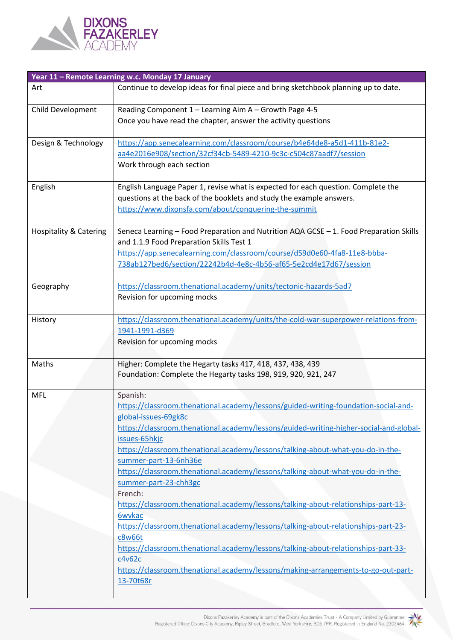

|                                   | Year 11 - Remote Learning w.c. Monday 17 January                                                                                                                                                                                                                                                                                                                                                                                                                                                                                                                                                                                                                                                                                                                                                                                                                        |
|-----------------------------------|-------------------------------------------------------------------------------------------------------------------------------------------------------------------------------------------------------------------------------------------------------------------------------------------------------------------------------------------------------------------------------------------------------------------------------------------------------------------------------------------------------------------------------------------------------------------------------------------------------------------------------------------------------------------------------------------------------------------------------------------------------------------------------------------------------------------------------------------------------------------------|
| Art                               | Continue to develop ideas for final piece and bring sketchbook planning up to date.                                                                                                                                                                                                                                                                                                                                                                                                                                                                                                                                                                                                                                                                                                                                                                                     |
| Child Development                 | Reading Component 1 - Learning Aim A - Growth Page 4-5<br>Once you have read the chapter, answer the activity questions                                                                                                                                                                                                                                                                                                                                                                                                                                                                                                                                                                                                                                                                                                                                                 |
| Design & Technology               | https://app.senecalearning.com/classroom/course/b4e64de8-a5d1-411b-81e2-<br>aa4e2016e908/section/32cf34cb-5489-4210-9c3c-c504c87aadf7/session<br>Work through each section                                                                                                                                                                                                                                                                                                                                                                                                                                                                                                                                                                                                                                                                                              |
| English                           | English Language Paper 1, revise what is expected for each question. Complete the<br>questions at the back of the booklets and study the example answers.<br>https://www.dixonsfa.com/about/conquering-the-summit                                                                                                                                                                                                                                                                                                                                                                                                                                                                                                                                                                                                                                                       |
| <b>Hospitality &amp; Catering</b> | Seneca Learning - Food Preparation and Nutrition AQA GCSE - 1. Food Preparation Skills<br>and 1.1.9 Food Preparation Skills Test 1<br>https://app.senecalearning.com/classroom/course/d59d0e60-4fa8-11e8-bbba-<br>738ab127bed6/section/22242b4d-4e8c-4b56-af65-5e2cd4e17d67/session                                                                                                                                                                                                                                                                                                                                                                                                                                                                                                                                                                                     |
| Geography                         | https://classroom.thenational.academy/units/tectonic-hazards-5ad7<br>Revision for upcoming mocks                                                                                                                                                                                                                                                                                                                                                                                                                                                                                                                                                                                                                                                                                                                                                                        |
| History                           | https://classroom.thenational.academy/units/the-cold-war-superpower-relations-from-<br>1941-1991-d369<br>Revision for upcoming mocks                                                                                                                                                                                                                                                                                                                                                                                                                                                                                                                                                                                                                                                                                                                                    |
| Maths                             | Higher: Complete the Hegarty tasks 417, 418, 437, 438, 439<br>Foundation: Complete the Hegarty tasks 198, 919, 920, 921, 247                                                                                                                                                                                                                                                                                                                                                                                                                                                                                                                                                                                                                                                                                                                                            |
| <b>MFL</b>                        | Spanish:<br>https://classroom.thenational.academy/lessons/guided-writing-foundation-social-and-<br>global-issues-69gk8c<br>https://classroom.thenational.academy/lessons/guided-writing-higher-social-and-global-<br>issues-65hkjc<br>https://classroom.thenational.academy/lessons/talking-about-what-you-do-in-the-<br>summer-part-13-6nh36e<br>https://classroom.thenational.academy/lessons/talking-about-what-you-do-in-the-<br>summer-part-23-chh3gc<br>French:<br>https://classroom.thenational.academy/lessons/talking-about-relationships-part-13-<br>6wvkac<br>https://classroom.thenational.academy/lessons/talking-about-relationships-part-23-<br>c8w66t<br>https://classroom.thenational.academy/lessons/talking-about-relationships-part-33-<br>c4v62c<br>https://classroom.thenational.academy/lessons/making-arrangements-to-go-out-part-<br>13-70t68r |